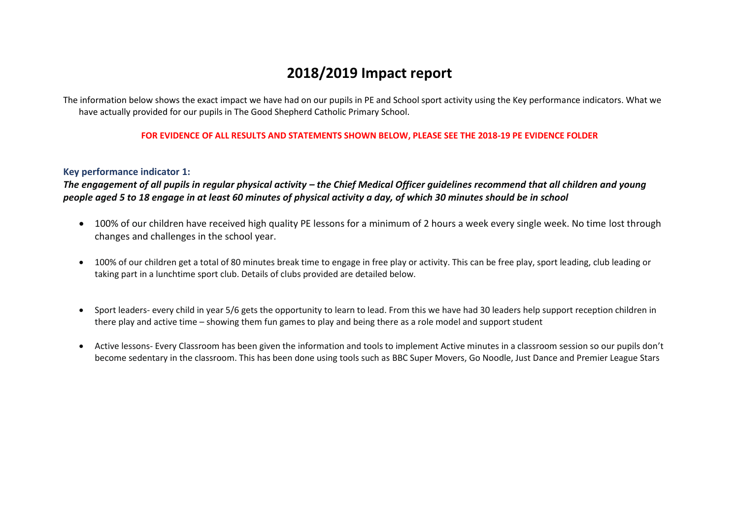# **2018/2019 Impact report**

The information below shows the exact impact we have had on our pupils in PE and School sport activity using the Key performance indicators. What we have actually provided for our pupils in The Good Shepherd Catholic Primary School.

### **FOR EVIDENCE OF ALL RESULTS AND STATEMENTS SHOWN BELOW, PLEASE SEE THE 2018-19 PE EVIDENCE FOLDER**

#### **Key performance indicator 1:**

The engagement of all pupils in regular physical activity – the Chief Medical Officer guidelines recommend that all children and young *people aged 5 to 18 engage in at least 60 minutes of physical activity a day, of which 30 minutes should be in school*

- 100% of our children have received high quality PE lessons for a minimum of 2 hours a week every single week. No time lost through changes and challenges in the school year.
- 100% of our children get a total of 80 minutes break time to engage in free play or activity. This can be free play, sport leading, club leading or taking part in a lunchtime sport club. Details of clubs provided are detailed below.
- Sport leaders- every child in year 5/6 gets the opportunity to learn to lead. From this we have had 30 leaders help support reception children in there play and active time – showing them fun games to play and being there as a role model and support student
- Active lessons- Every Classroom has been given the information and tools to implement Active minutes in a classroom session so our pupils don't become sedentary in the classroom. This has been done using tools such as BBC Super Movers, Go Noodle, Just Dance and Premier League Stars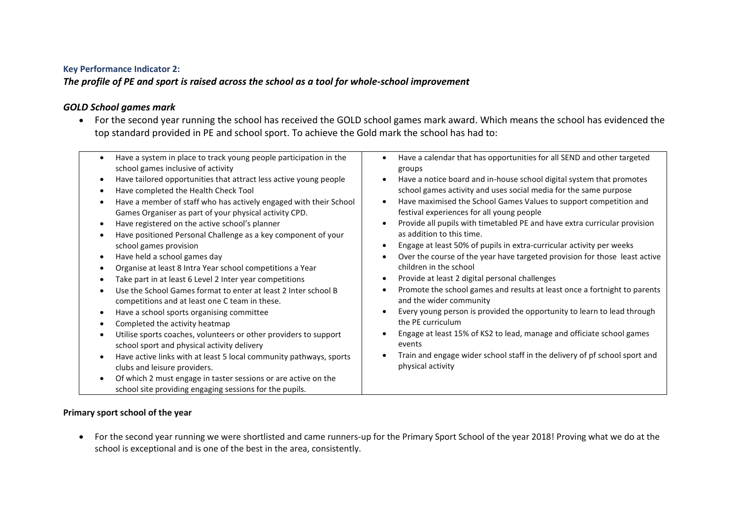## **Key Performance Indicator 2:**

*The profile of PE and sport is raised across the school as a tool for whole-school improvement*

## *GOLD School games mark*

 For the second year running the school has received the GOLD school games mark award. Which means the school has evidenced the top standard provided in PE and school sport. To achieve the Gold mark the school has had to:

| Have a system in place to track young people participation in the<br>$\bullet$<br>school games inclusive of activity<br>Have tailored opportunities that attract less active young people<br>$\bullet$<br>Have completed the Health Check Tool<br>Have a member of staff who has actively engaged with their School<br>Games Organiser as part of your physical activity CPD.<br>Have registered on the active school's planner<br>$\bullet$<br>Have positioned Personal Challenge as a key component of your<br>school games provision<br>Have held a school games day<br>٠<br>Organise at least 8 Intra Year school competitions a Year<br>Take part in at least 6 Level 2 Inter year competitions<br>Use the School Games format to enter at least 2 Inter school B<br>competitions and at least one C team in these.<br>Have a school sports organising committee<br>$\bullet$<br>Completed the activity heatmap<br>Utilise sports coaches, volunteers or other providers to support<br>$\bullet$<br>school sport and physical activity delivery<br>Have active links with at least 5 local community pathways, sports<br>$\bullet$<br>clubs and leisure providers.<br>Of which 2 must engage in taster sessions or are active on the<br>$\bullet$<br>school site providing engaging sessions for the pupils. | Have a calendar that has opportunities for all SEND and other targeted<br>groups<br>Have a notice board and in-house school digital system that promotes<br>school games activity and uses social media for the same purpose<br>Have maximised the School Games Values to support competition and<br>festival experiences for all young people<br>Provide all pupils with timetabled PE and have extra curricular provision<br>as addition to this time.<br>Engage at least 50% of pupils in extra-curricular activity per weeks<br>Over the course of the year have targeted provision for those least active<br>children in the school<br>Provide at least 2 digital personal challenges<br>Promote the school games and results at least once a fortnight to parents<br>and the wider community<br>Every young person is provided the opportunity to learn to lead through<br>the PF curriculum<br>Engage at least 15% of KS2 to lead, manage and officiate school games<br>events<br>Train and engage wider school staff in the delivery of pf school sport and<br>physical activity |
|-------------------------------------------------------------------------------------------------------------------------------------------------------------------------------------------------------------------------------------------------------------------------------------------------------------------------------------------------------------------------------------------------------------------------------------------------------------------------------------------------------------------------------------------------------------------------------------------------------------------------------------------------------------------------------------------------------------------------------------------------------------------------------------------------------------------------------------------------------------------------------------------------------------------------------------------------------------------------------------------------------------------------------------------------------------------------------------------------------------------------------------------------------------------------------------------------------------------------------------------------------------------------------------------------------------------|------------------------------------------------------------------------------------------------------------------------------------------------------------------------------------------------------------------------------------------------------------------------------------------------------------------------------------------------------------------------------------------------------------------------------------------------------------------------------------------------------------------------------------------------------------------------------------------------------------------------------------------------------------------------------------------------------------------------------------------------------------------------------------------------------------------------------------------------------------------------------------------------------------------------------------------------------------------------------------------------------------------------------------------------------------------------------------------|
|-------------------------------------------------------------------------------------------------------------------------------------------------------------------------------------------------------------------------------------------------------------------------------------------------------------------------------------------------------------------------------------------------------------------------------------------------------------------------------------------------------------------------------------------------------------------------------------------------------------------------------------------------------------------------------------------------------------------------------------------------------------------------------------------------------------------------------------------------------------------------------------------------------------------------------------------------------------------------------------------------------------------------------------------------------------------------------------------------------------------------------------------------------------------------------------------------------------------------------------------------------------------------------------------------------------------|------------------------------------------------------------------------------------------------------------------------------------------------------------------------------------------------------------------------------------------------------------------------------------------------------------------------------------------------------------------------------------------------------------------------------------------------------------------------------------------------------------------------------------------------------------------------------------------------------------------------------------------------------------------------------------------------------------------------------------------------------------------------------------------------------------------------------------------------------------------------------------------------------------------------------------------------------------------------------------------------------------------------------------------------------------------------------------------|

## **Primary sport school of the year**

 For the second year running we were shortlisted and came runners-up for the Primary Sport School of the year 2018! Proving what we do at the school is exceptional and is one of the best in the area, consistently.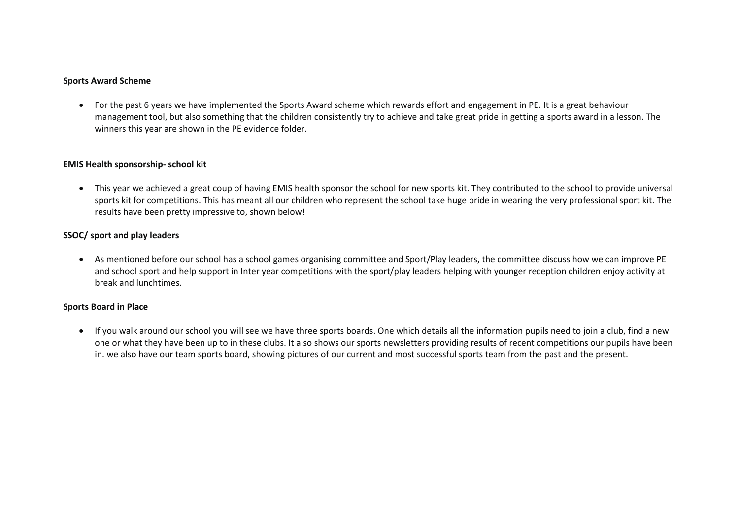#### **Sports Award Scheme**

 For the past 6 years we have implemented the Sports Award scheme which rewards effort and engagement in PE. It is a great behaviour management tool, but also something that the children consistently try to achieve and take great pride in getting a sports award in a lesson. The winners this year are shown in the PE evidence folder.

#### **EMIS Health sponsorship- school kit**

 This year we achieved a great coup of having EMIS health sponsor the school for new sports kit. They contributed to the school to provide universal sports kit for competitions. This has meant all our children who represent the school take huge pride in wearing the very professional sport kit. The results have been pretty impressive to, shown below!

#### **SSOC/ sport and play leaders**

 As mentioned before our school has a school games organising committee and Sport/Play leaders, the committee discuss how we can improve PE and school sport and help support in Inter year competitions with the sport/play leaders helping with younger reception children enjoy activity at break and lunchtimes.

#### **Sports Board in Place**

 If you walk around our school you will see we have three sports boards. One which details all the information pupils need to join a club, find a new one or what they have been up to in these clubs. It also shows our sports newsletters providing results of recent competitions our pupils have been in. we also have our team sports board, showing pictures of our current and most successful sports team from the past and the present.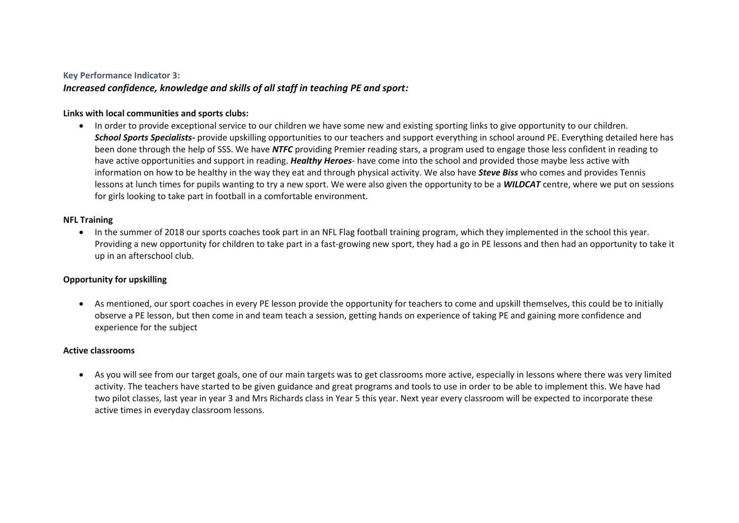#### **Key Performance Indicator 3:**

## *Increased confidence, knowledge and skills of all staff in teaching PE and sport:*

#### **Links with local communities and sports clubs:**

 In order to provide exceptional service to our children we have some new and existing sporting links to give opportunity to our children. *School Sports Specialists-* provide upskilling opportunities to our teachers and support everything in school around PE. Everything detailed here has been done through the help of SSS. We have *NTFC* providing Premier reading stars, a program used to engage those less confident in reading to have active opportunities and support in reading. *Healthy Heroes*- have come into the school and provided those maybe less active with information on how to be healthy in the way they eat and through physical activity. We also have *Steve Biss* who comes and provides Tennis lessons at lunch times for pupils wanting to try a new sport. We were also given the opportunity to be a *WILDCAT* centre, where we put on sessions for girls looking to take part in football in a comfortable environment.

#### **NFL Training**

• In the summer of 2018 our sports coaches took part in an NFL Flag football training program, which they implemented in the school this year. Providing a new opportunity for children to take part in a fast-growing new sport, they had a go in PE lessons and then had an opportunity to take it up in an afterschool club.

#### **Opportunity for upskilling**

 As mentioned, our sport coaches in every PE lesson provide the opportunity for teachers to come and upskill themselves, this could be to initially observe a PE lesson, but then come in and team teach a session, getting hands on experience of taking PE and gaining more confidence and experience for the subject

#### **Active classrooms**

 As you will see from our target goals, one of our main targets was to get classrooms more active, especially in lessons where there was very limited activity. The teachers have started to be given guidance and great programs and tools to use in order to be able to implement this. We have had two pilot classes, last year in year 3 and Mrs Richards class in Year 5 this year. Next year every classroom will be expected to incorporate these active times in everyday classroom lessons.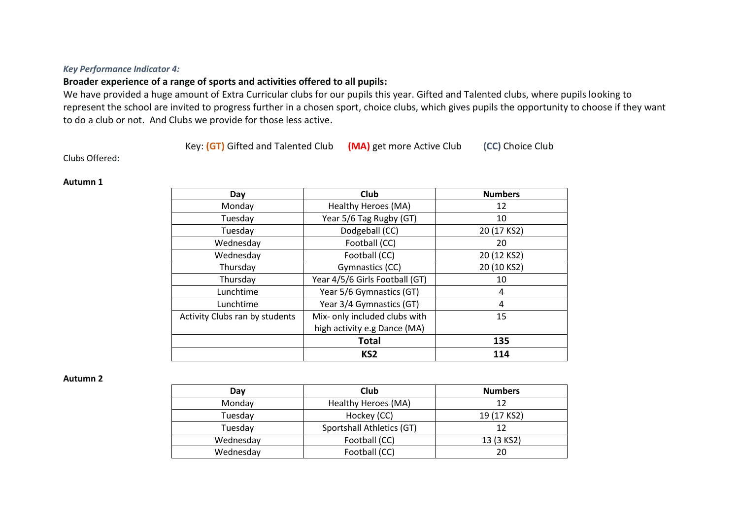### *Key Performance Indicator 4:*

## **Broader experience of a range of sports and activities offered to all pupils:**

We have provided a huge amount of Extra Curricular clubs for our pupils this year. Gifted and Talented clubs, where pupils looking to represent the school are invited to progress further in a chosen sport, choice clubs, which gives pupils the opportunity to choose if they want to do a club or not. And Clubs we provide for those less active.

Key: **(GT)** Gifted and Talented Club **(MA)** get more Active Club **(CC)** Choice Club

Clubs Offered:

#### **Autumn 1**

| Day                            | Club<br><b>Numbers</b>         |             |
|--------------------------------|--------------------------------|-------------|
| Monday                         | Healthy Heroes (MA)            | 12          |
| Tuesday                        | Year 5/6 Tag Rugby (GT)<br>10  |             |
| Tuesday                        | Dodgeball (CC)                 | 20 (17 KS2) |
| Wednesday                      | Football (CC)                  | 20          |
| Wednesday                      | Football (CC)                  | 20 (12 KS2) |
| Thursday                       | Gymnastics (CC)                | 20 (10 KS2) |
| Thursday                       | Year 4/5/6 Girls Football (GT) | 10          |
| Lunchtime                      | Year 5/6 Gymnastics (GT)       | 4           |
| Lunchtime                      | Year 3/4 Gymnastics (GT)       | 4           |
| Activity Clubs ran by students | Mix- only included clubs with  | 15          |
|                                | high activity e.g Dance (MA)   |             |
|                                | <b>Total</b>                   | 135         |
|                                | KS <sub>2</sub>                | 114         |

#### **Autumn 2**

| Day       | Club                      | <b>Numbers</b> |
|-----------|---------------------------|----------------|
| Monday    | Healthy Heroes (MA)       | 12             |
| Tuesday   | Hockey (CC)               | 19 (17 KS2)    |
| Tuesday   | Sportshall Athletics (GT) | 12             |
| Wednesday | Football (CC)             | 13 (3 KS2)     |
| Wednesday | Football (CC)             | 20             |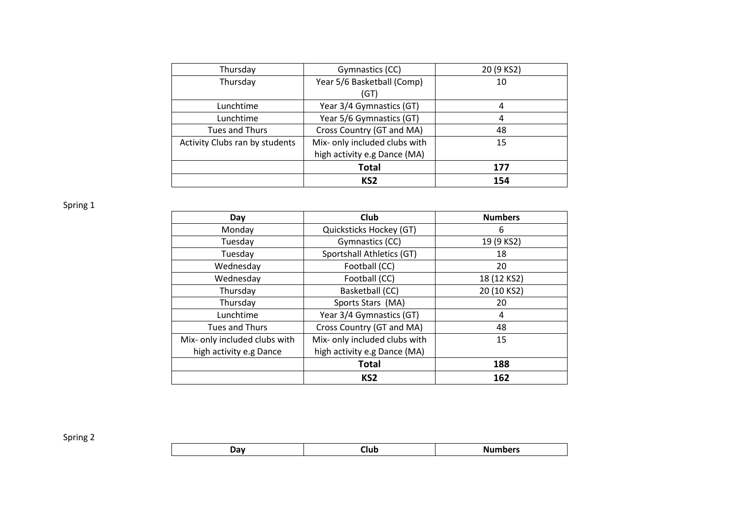| Thursday                       | Gymnastics (CC)               | 20 (9 KS2) |
|--------------------------------|-------------------------------|------------|
| Thursday                       | Year 5/6 Basketball (Comp)    | 10         |
|                                | (GT)                          |            |
| Lunchtime                      | Year 3/4 Gymnastics (GT)      | 4          |
| Lunchtime                      | Year 5/6 Gymnastics (GT)      | 4          |
| Tues and Thurs                 | Cross Country (GT and MA)     | 48         |
| Activity Clubs ran by students | Mix- only included clubs with | 15         |
|                                | high activity e.g Dance (MA)  |            |
|                                | <b>Total</b>                  | 177        |
|                                | KS <sub>2</sub>               | 154        |

Spring 1

| Day                           | Club                          | <b>Numbers</b> |
|-------------------------------|-------------------------------|----------------|
| Monday                        | Quicksticks Hockey (GT)       | 6              |
| Tuesday                       | Gymnastics (CC)               | 19 (9 KS2)     |
| Tuesday                       | Sportshall Athletics (GT)     | 18             |
| Wednesday                     | Football (CC)                 | 20             |
| Wednesday                     | Football (CC)                 | 18 (12 KS2)    |
| Thursday                      | Basketball (CC)               | 20 (10 KS2)    |
| Thursday                      | Sports Stars (MA)             | 20             |
| Lunchtime                     | Year 3/4 Gymnastics (GT)      | 4              |
| Tues and Thurs                | Cross Country (GT and MA)     | 48             |
| Mix- only included clubs with | Mix- only included clubs with | 15             |
| high activity e.g Dance       | high activity e.g Dance (MA)  |                |
|                               | <b>Total</b>                  | 188            |
|                               | KS <sub>2</sub>               | 162            |

Spring 2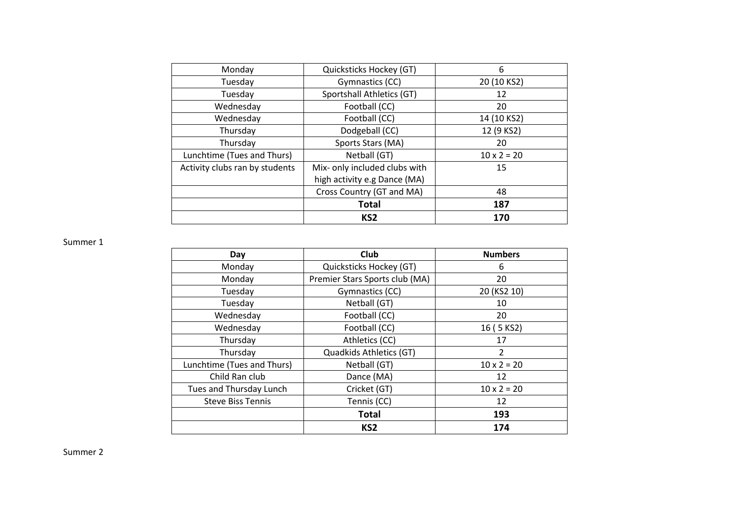| Monday                         | Quicksticks Hockey (GT)       | 6                  |
|--------------------------------|-------------------------------|--------------------|
| Tuesday                        | Gymnastics (CC)               | 20 (10 KS2)        |
| Tuesday                        | Sportshall Athletics (GT)     | 12                 |
| Wednesday                      | Football (CC)                 | 20                 |
| Wednesday                      | Football (CC)                 | 14 (10 KS2)        |
| Thursday                       | Dodgeball (CC)                | 12 (9 KS2)         |
| Thursday                       | Sports Stars (MA)             | 20                 |
| Lunchtime (Tues and Thurs)     | Netball (GT)                  | $10 \times 2 = 20$ |
| Activity clubs ran by students | Mix- only included clubs with | 15                 |
|                                | high activity e.g Dance (MA)  |                    |
|                                | Cross Country (GT and MA)     | 48                 |
|                                | <b>Total</b>                  | 187                |
|                                | KS <sub>2</sub>               | 170                |

Summer 1

| Day                        | Club                           | <b>Numbers</b>     |
|----------------------------|--------------------------------|--------------------|
| Monday                     | Quicksticks Hockey (GT)        | 6                  |
| Monday                     | Premier Stars Sports club (MA) | 20                 |
| Tuesday                    | Gymnastics (CC)                | 20 (KS2 10)        |
| Tuesday                    | Netball (GT)                   | 10                 |
| Wednesday                  | Football (CC)                  | 20                 |
| Wednesday                  | Football (CC)                  | 16 (5 KS2)         |
| Thursday                   | Athletics (CC)                 | 17                 |
| Thursday                   | Quadkids Athletics (GT)        | $\overline{2}$     |
| Lunchtime (Tues and Thurs) | Netball (GT)                   | $10 \times 2 = 20$ |
| Child Ran club             | Dance (MA)                     | 12                 |
| Tues and Thursday Lunch    | Cricket (GT)                   | $10 \times 2 = 20$ |
| <b>Steve Biss Tennis</b>   | Tennis (CC)                    | 12                 |
|                            | <b>Total</b>                   | 193                |
|                            | KS <sub>2</sub>                | 174                |

Summer 2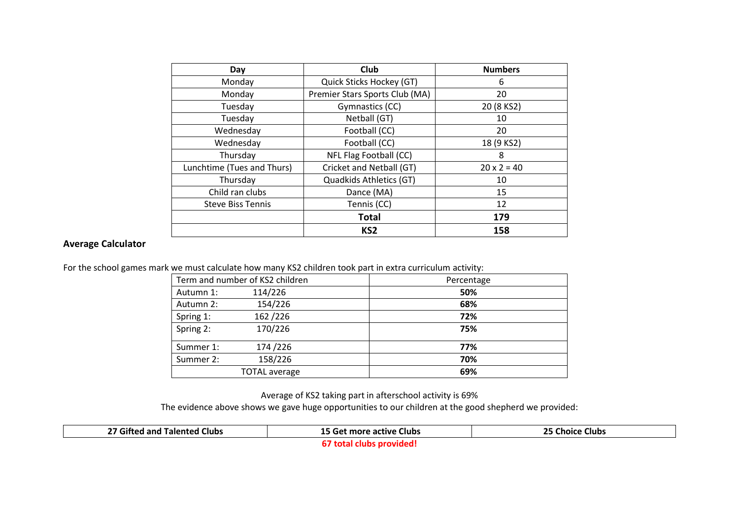| Day                        | Club                                 | <b>Numbers</b>     |
|----------------------------|--------------------------------------|--------------------|
| Monday                     | Quick Sticks Hockey (GT)             | 6                  |
| Monday                     | Premier Stars Sports Club (MA)<br>20 |                    |
| Tuesday                    | Gymnastics (CC)                      | 20 (8 KS2)         |
| Tuesday                    | Netball (GT)                         | 10                 |
| Wednesday                  | Football (CC)                        | 20                 |
| Wednesday                  | Football (CC)                        | 18 (9 KS2)         |
| Thursday                   | NFL Flag Football (CC)               | 8                  |
| Lunchtime (Tues and Thurs) | Cricket and Netball (GT)             | $20 \times 2 = 40$ |
| Thursday                   | Quadkids Athletics (GT)              | 10                 |
| Child ran clubs            | Dance (MA)                           | 15                 |
| <b>Steve Biss Tennis</b>   | Tennis (CC)                          | 12                 |
|                            | <b>Total</b>                         | 179                |
|                            | KS <sub>2</sub>                      | 158                |

## **Average Calculator**

For the school games mark we must calculate how many KS2 children took part in extra curriculum activity:

|           | Term and number of KS2 children | Percentage |
|-----------|---------------------------------|------------|
| Autumn 1: | 114/226                         | 50%        |
| Autumn 2: | 154/226                         | 68%        |
| Spring 1: | 162/226                         | 72%        |
| Spring 2: | 170/226                         | 75%        |
| Summer 1: | 174/226                         | 77%        |
| Summer 2: | 158/226                         | 70%        |
|           | <b>TOTAL</b> average            | 69%        |

Average of KS2 taking part in afterschool activity is 69%

The evidence above shows we gave huge opportunities to our children at the good shepherd we provided:

| 27 Gifted and Talented Clubs | <b>15 Get more active Clubs</b> | 25 Choice<br>: Clubs |
|------------------------------|---------------------------------|----------------------|
|                              | nrovided<br>l clubs.<br>тотан   |                      |

**67 total clubs provided!**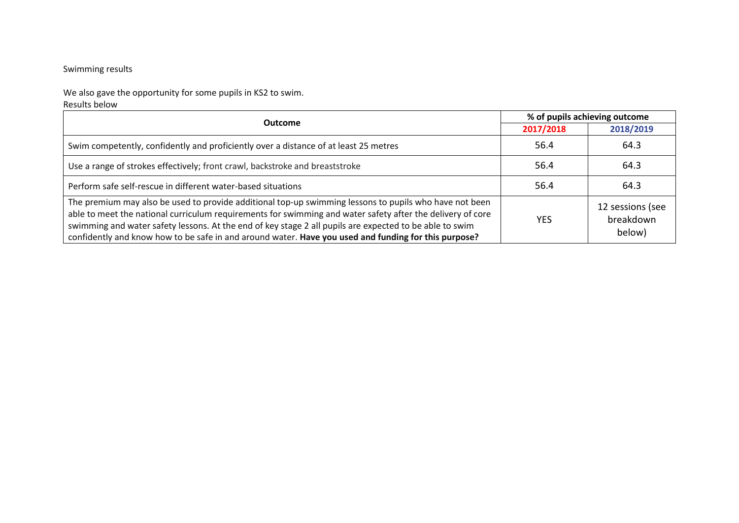## Swimming results

We also gave the opportunity for some pupils in KS2 to swim. Results below

| <b>Outcome</b>                                                                                                                                                                                                                                                                                                                                                                                                                          | % of pupils achieving outcome |                                         |
|-----------------------------------------------------------------------------------------------------------------------------------------------------------------------------------------------------------------------------------------------------------------------------------------------------------------------------------------------------------------------------------------------------------------------------------------|-------------------------------|-----------------------------------------|
|                                                                                                                                                                                                                                                                                                                                                                                                                                         | 2017/2018                     | 2018/2019                               |
| Swim competently, confidently and proficiently over a distance of at least 25 metres                                                                                                                                                                                                                                                                                                                                                    | 56.4                          | 64.3                                    |
| Use a range of strokes effectively; front crawl, backstroke and breaststroke                                                                                                                                                                                                                                                                                                                                                            | 56.4                          | 64.3                                    |
| Perform safe self-rescue in different water-based situations                                                                                                                                                                                                                                                                                                                                                                            | 56.4                          | 64.3                                    |
| The premium may also be used to provide additional top-up swimming lessons to pupils who have not been<br>able to meet the national curriculum requirements for swimming and water safety after the delivery of core<br>swimming and water safety lessons. At the end of key stage 2 all pupils are expected to be able to swim<br>confidently and know how to be safe in and around water. Have you used and funding for this purpose? | <b>YES</b>                    | 12 sessions (see<br>breakdown<br>below) |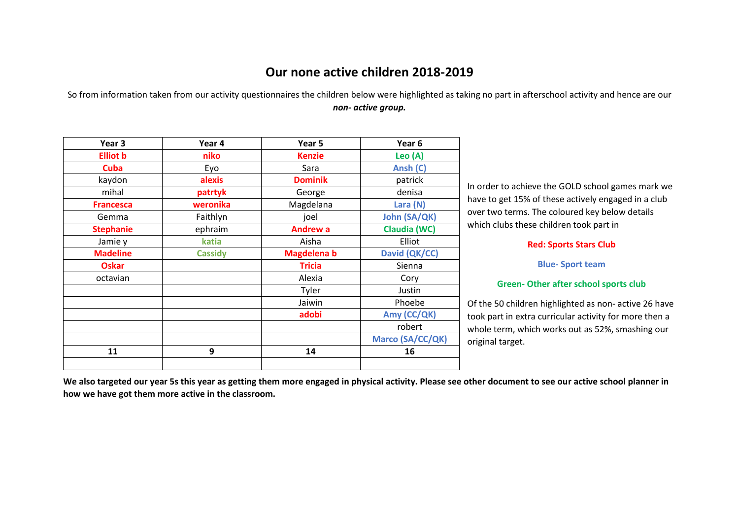## **Our none active children 2018-2019**

So from information taken from our activity questionnaires the children below were highlighted as taking no part in afterschool activity and hence are our *non- active group.*

| Year <sub>3</sub> | Year 4         | Year 5             | Year <sub>6</sub>   |
|-------------------|----------------|--------------------|---------------------|
| <b>Elliot b</b>   | niko           | <b>Kenzie</b>      | Leo (A)             |
| <b>Cuba</b>       | Eyo            | Sara               | Ansh (C)            |
| kaydon            | alexis         | <b>Dominik</b>     | patrick             |
| mihal             | patrtyk        | George             | denisa              |
| <b>Francesca</b>  | weronika       | Magdelana          | Lara (N)            |
| Gemma             | Faithlyn       | joel               | <b>John (SA/QK)</b> |
| <b>Stephanie</b>  | ephraim        | <b>Andrew a</b>    | Claudia (WC)        |
| Jamie y           | katia          | Aisha              | Elliot              |
| <b>Madeline</b>   | <b>Cassidy</b> | <b>Magdelena b</b> | David (QK/CC)       |
| <b>Oskar</b>      |                | <b>Tricia</b>      | Sienna              |
| octavian          |                | Alexia             | Cory                |
|                   |                | Tyler              | Justin              |
|                   |                | Jaiwin             | Phoebe              |
|                   |                | adobi              | Amy (CC/QK)         |
|                   |                |                    | robert              |
|                   |                |                    | Marco (SA/CC/QK)    |
| 11                | 9              | 14                 | 16                  |
|                   |                |                    |                     |

In order to achieve the GOLD school games mark we have to get 15% of these actively engaged in a club over two terms. The coloured key below details which clubs these children took part in

#### **Red: Sports Stars Club**

**Blue- Sport team**

#### **Green- Other after school sports club**

Of the 50 children highlighted as non- active 26 have took part in extra curricular activity for more then a whole term, which works out as 52%, smashing our original target.

**We also targeted our year 5s this year as getting them more engaged in physical activity. Please see other document to see our active school planner in how we have got them more active in the classroom.**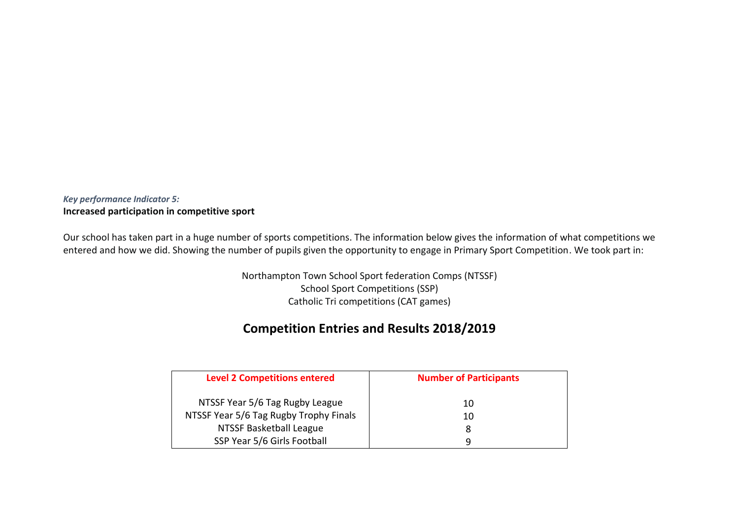## *Key performance Indicator 5:* **Increased participation in competitive sport**

Our school has taken part in a huge number of sports competitions. The information below gives the information of what competitions we entered and how we did. Showing the number of pupils given the opportunity to engage in Primary Sport Competition. We took part in:

> Northampton Town School Sport federation Comps (NTSSF) School Sport Competitions (SSP) Catholic Tri competitions (CAT games)

## **Competition Entries and Results 2018/2019**

| <b>Level 2 Competitions entered</b>    | <b>Number of Participants</b> |  |
|----------------------------------------|-------------------------------|--|
| NTSSF Year 5/6 Tag Rugby League        | 10                            |  |
| NTSSF Year 5/6 Tag Rugby Trophy Finals | 10                            |  |
| NTSSF Basketball League                | 8                             |  |
| SSP Year 5/6 Girls Football            | q                             |  |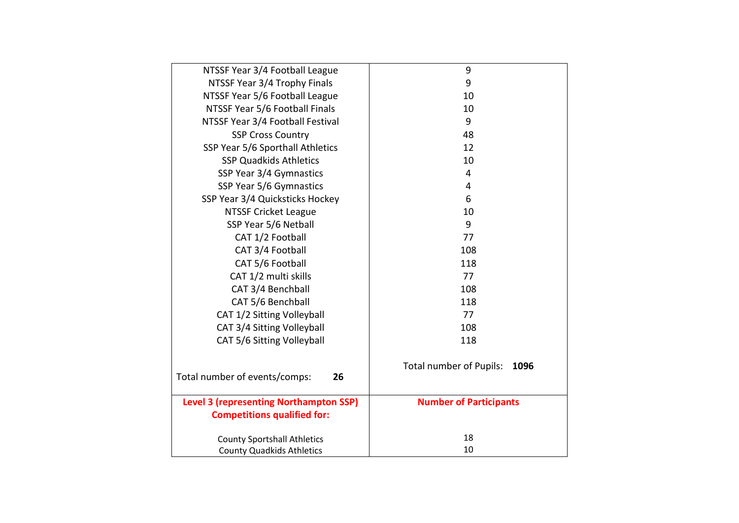| NTSSF Year 3/4 Football League                | 9                               |  |
|-----------------------------------------------|---------------------------------|--|
| NTSSF Year 3/4 Trophy Finals                  | 9                               |  |
| NTSSF Year 5/6 Football League                | 10                              |  |
| NTSSF Year 5/6 Football Finals                | 10                              |  |
| NTSSF Year 3/4 Football Festival              | 9                               |  |
| <b>SSP Cross Country</b>                      | 48                              |  |
| SSP Year 5/6 Sporthall Athletics              | 12                              |  |
| <b>SSP Quadkids Athletics</b>                 | 10                              |  |
| SSP Year 3/4 Gymnastics                       | 4                               |  |
| SSP Year 5/6 Gymnastics                       | 4                               |  |
| SSP Year 3/4 Quicksticks Hockey               | 6                               |  |
| <b>NTSSF Cricket League</b>                   | 10                              |  |
| SSP Year 5/6 Netball                          | 9                               |  |
| CAT 1/2 Football                              | 77                              |  |
| CAT 3/4 Football                              | 108                             |  |
| CAT 5/6 Football                              | 118                             |  |
| CAT 1/2 multi skills                          | 77                              |  |
| CAT 3/4 Benchball                             | 108                             |  |
| CAT 5/6 Benchball                             | 118                             |  |
| CAT 1/2 Sitting Volleyball                    | 77                              |  |
| CAT 3/4 Sitting Volleyball                    | 108                             |  |
| CAT 5/6 Sitting Volleyball                    | 118                             |  |
| Total number of events/comps:<br>26           | Total number of Pupils:<br>1096 |  |
| <b>Level 3 (representing Northampton SSP)</b> | <b>Number of Participants</b>   |  |
| <b>Competitions qualified for:</b>            |                                 |  |
| <b>County Sportshall Athletics</b>            | 18                              |  |
| <b>County Quadkids Athletics</b>              | 10                              |  |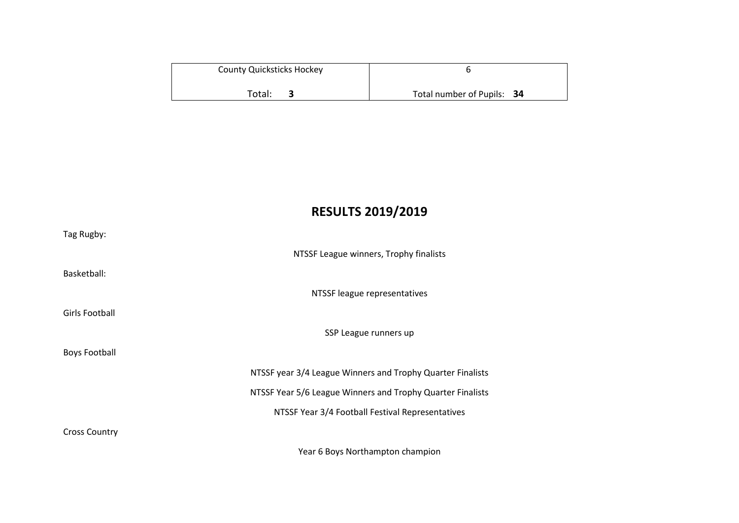| <b>County Quicksticks Hockey</b> |                            |  |
|----------------------------------|----------------------------|--|
|                                  |                            |  |
| Total:                           | Total number of Pupils: 34 |  |

# **RESULTS 2019/2019**

| Tag Rugby:           |                                                            |
|----------------------|------------------------------------------------------------|
|                      | NTSSF League winners, Trophy finalists                     |
| Basketball:          |                                                            |
|                      | NTSSF league representatives                               |
| Girls Football       |                                                            |
|                      | SSP League runners up                                      |
| <b>Boys Football</b> |                                                            |
|                      | NTSSF year 3/4 League Winners and Trophy Quarter Finalists |
|                      | NTSSF Year 5/6 League Winners and Trophy Quarter Finalists |
|                      | NTSSF Year 3/4 Football Festival Representatives           |
| <b>Cross Country</b> |                                                            |
|                      | Year 6 Boys Northampton champion                           |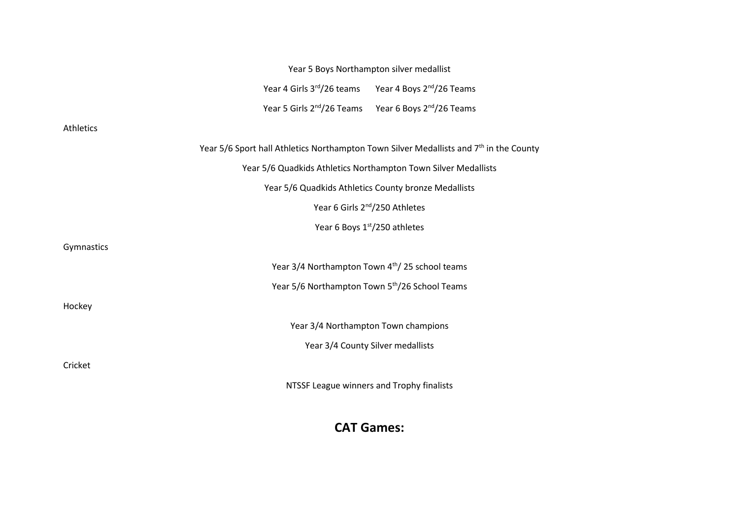|            | Year 5 Boys Northampton silver medallist                                                           |  |
|------------|----------------------------------------------------------------------------------------------------|--|
|            | Year 4 Girls 3rd/26 teams Year 4 Boys 2nd/26 Teams                                                 |  |
|            | Year 5 Girls 2 <sup>nd</sup> /26 Teams Year 6 Boys 2 <sup>nd</sup> /26 Teams                       |  |
| Athletics  |                                                                                                    |  |
|            | Year 5/6 Sport hall Athletics Northampton Town Silver Medallists and 7 <sup>th</sup> in the County |  |
|            | Year 5/6 Quadkids Athletics Northampton Town Silver Medallists                                     |  |
|            | Year 5/6 Quadkids Athletics County bronze Medallists                                               |  |
|            | Year 6 Girls 2 <sup>nd</sup> /250 Athletes                                                         |  |
|            | Year 6 Boys 1st/250 athletes                                                                       |  |
| Gymnastics |                                                                                                    |  |
|            | Year 3/4 Northampton Town 4th/25 school teams                                                      |  |
|            | Year 5/6 Northampton Town 5 <sup>th</sup> /26 School Teams                                         |  |
| Hockey     |                                                                                                    |  |
|            | Year 3/4 Northampton Town champions                                                                |  |
|            | Year 3/4 County Silver medallists                                                                  |  |
| Cricket    |                                                                                                    |  |
|            | NTSSF League winners and Trophy finalists                                                          |  |

# **CAT Games:**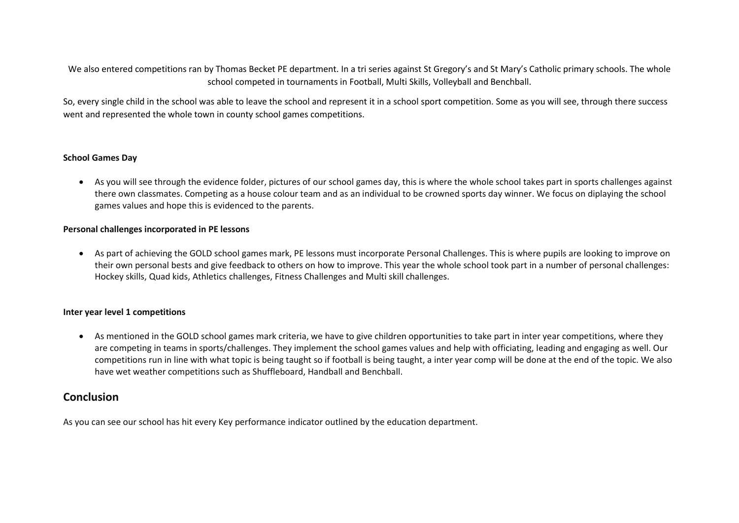We also entered competitions ran by Thomas Becket PE department. In a tri series against St Gregory's and St Mary's Catholic primary schools. The whole school competed in tournaments in Football, Multi Skills, Volleyball and Benchball.

So, every single child in the school was able to leave the school and represent it in a school sport competition. Some as you will see, through there success went and represented the whole town in county school games competitions.

#### **School Games Day**

 As you will see through the evidence folder, pictures of our school games day, this is where the whole school takes part in sports challenges against there own classmates. Competing as a house colour team and as an individual to be crowned sports day winner. We focus on diplaying the school games values and hope this is evidenced to the parents.

#### **Personal challenges incorporated in PE lessons**

 As part of achieving the GOLD school games mark, PE lessons must incorporate Personal Challenges. This is where pupils are looking to improve on their own personal bests and give feedback to others on how to improve. This year the whole school took part in a number of personal challenges: Hockey skills, Quad kids, Athletics challenges, Fitness Challenges and Multi skill challenges.

#### **Inter year level 1 competitions**

 As mentioned in the GOLD school games mark criteria, we have to give children opportunities to take part in inter year competitions, where they are competing in teams in sports/challenges. They implement the school games values and help with officiating, leading and engaging as well. Our competitions run in line with what topic is being taught so if football is being taught, a inter year comp will be done at the end of the topic. We also have wet weather competitions such as Shuffleboard, Handball and Benchball.

## **Conclusion**

As you can see our school has hit every Key performance indicator outlined by the education department.